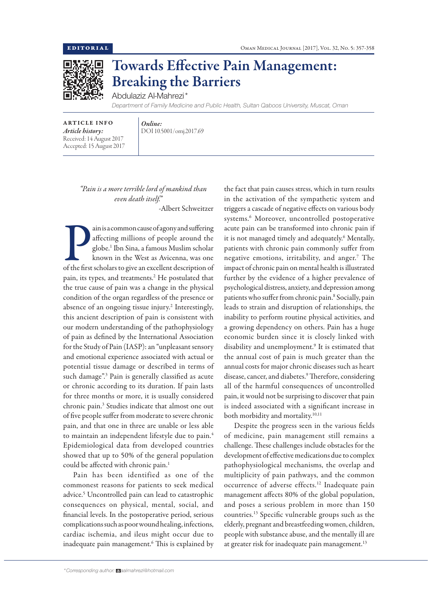

## Towards Effective Pain Management: Breaking the Barriers

Abdulaziz Al-Mahrezi\*

*Department of Family Medicine and Public Health, Sultan Qaboos University, Muscat, Oman*

ARTICLE INFO *Article history:* Received: 14 August 2017 Accepted: 15 August 2017

*Online:* DOI 10.5001/omj.2017.69

*"Pain is a more terrible lord of mankind than even death itself."* -Albert Schweitzer

ain is a common cause of agony and suffering<br>affecting millions of people around the<br>globe.<sup>1</sup> Ibn Sina, a famous Muslim scholar<br>known in the West as Avicenna, was one<br>of the first scholars to give an excellent description ain is a common cause of agony and suffering affecting millions of people around the globe.1 Ibn Sina, a famous Muslim scholar known in the West as Avicenna, was one pain, its types, and treatments.2 He postulated that the true cause of pain was a change in the physical condition of the organ regardless of the presence or absence of an ongoing tissue injury.<sup>2</sup> Interestingly, this ancient description of pain is consistent with our modern understanding of the pathophysiology of pain as defined by the International Association for the Study of Pain (IASP): an "unpleasant sensory and emotional experience associated with actual or potential tissue damage or described in terms of such damage".3 Pain is generally classified as acute or chronic according to its duration. If pain lasts for three months or more, it is usually considered chronic pain.3 Studies indicate that almost one out of five people suffer from moderate to severe chronic pain, and that one in three are unable or less able to maintain an independent lifestyle due to pain.4 Epidemiological data from developed countries showed that up to 50% of the general population could be affected with chronic pain.<sup>1</sup>

Pain has been identified as one of the commonest reasons for patients to seek medical advice.<sup>5</sup> Uncontrolled pain can lead to catastrophic consequences on physical, mental, social, and financial levels. In the postoperative period, serious complications such as poor wound healing, infections, cardiac ischemia, and ileus might occur due to inadequate pain management.6 This is explained by the fact that pain causes stress, which in turn results in the activation of the sympathetic system and triggers a cascade of negative effects on various body systems.6 Moreover, uncontrolled postoperative acute pain can be transformed into chronic pain if it is not managed timely and adequately.<sup>6</sup> Mentally, patients with chronic pain commonly suffer from negative emotions, irritability, and anger.7 The impact of chronic pain on mental health is illustrated further by the evidence of a higher prevalence of psychological distress, anxiety, and depression among patients who suffer from chronic pain.<sup>8</sup> Socially, pain leads to strain and disruption of relationships, the inability to perform routine physical activities, and a growing dependency on others. Pain has a huge economic burden since it is closely linked with disability and unemployment.9 It is estimated that the annual cost of pain is much greater than the annual costs for major chronic diseases such as heart disease, cancer, and diabetes.<sup>9</sup> Therefore, considering all of the harmful consequences of uncontrolled pain, it would not be surprising to discover that pain is indeed associated with a significant increase in both morbidity and mortality.<sup>10,11</sup>

Despite the progress seen in the various fields of medicine, pain management still remains a challenge. These challenges include obstacles for the development of effective medications due to complex pathophysiological mechanisms, the overlap and multiplicity of pain pathways, and the common occurrence of adverse effects.12 Inadequate pain management affects 80% of the global population, and poses a serious problem in more than 150 countries.13 Specific vulnerable groups such as the elderly, pregnant and breastfeeding women, children, people with substance abuse, and the mentally ill are at greater risk for inadequate pain management.<sup>13</sup>